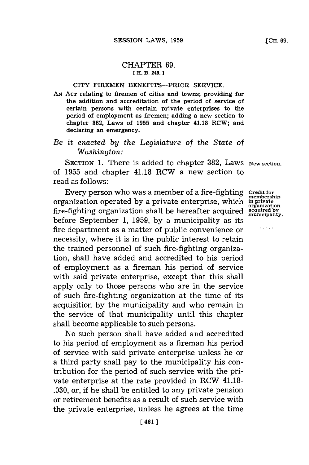## CHAPTER **69. EH. B. 249.]1**

## CITY FIREMEN BENEFITS-PRIOR SERVICE.

**AN ACT** relating to firemen of cities and towns; providing for the addition and accreditation of the period of service of certain persons with certain private enterprises to the period of employment as firemen; adding a new section to chapter **382,** Laws of **1955** and chapter 41.18 RCW; and declaring an emergency.

## *Be it enacted by the Legislature* of *the State of Washington:*

**SECTION 1.** There is added to chapter **382,** Laws **New section.** of **1955** and chapter 41.18 RCW a new section to read as follows:

Every person who was a member of a fire-fighting **Credit for** membership organization operated **by** a private enterprise, which **in private organization** fire-fighting organization shall be hereafter acquired **acquired by municipality.** before September **1, 1959, by** a municipality as its fire department as a matter of public convenience or necessity, where it is in the public interest to retain the trained personnel of such fire-fighting organization, shall have added and accredited to his period of employment as a fireman his period of service with said private enterprise, except that this shall apply only to those persons who are in the service of such fire-fighting organization at the time of its acquisition **by** the municipality and who remain in the service of that municipality until this chapter shall become applicable to such persons.

No such person shall have added and accredited to his period of employment as a fireman his period of service with said private enterprise unless he or a third party shall pay to the municipality his contribution for the period of such service with the private enterprise at the rate provided in RCW 41.18- **.030,** or, if he shall be entitled to any private pension or retirement benefits as a result of such service with the private enterprise, unless he agrees at the time

e gordon